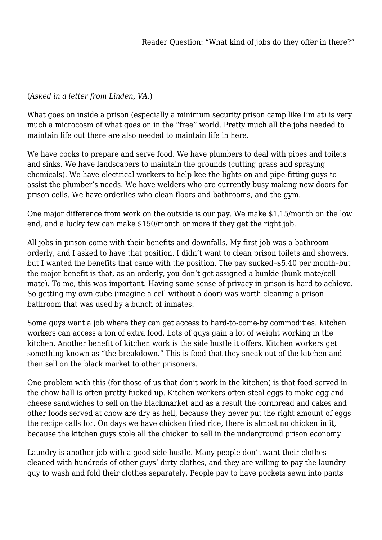## (*Asked in a letter from Linden, VA.*)

What goes on inside a prison (especially a minimum security prison camp like I'm at) is very much a microcosm of what goes on in the "free" world. Pretty much all the jobs needed to maintain life out there are also needed to maintain life in here.

We have cooks to prepare and serve food. We have plumbers to deal with pipes and toilets and sinks. We have landscapers to maintain the grounds (cutting grass and spraying chemicals). We have electrical workers to help kee the lights on and pipe-fitting guys to assist the plumber's needs. We have welders who are currently busy making new doors for prison cells. We have orderlies who clean floors and bathrooms, and the gym.

One major difference from work on the outside is our pay. We make \$1.15/month on the low end, and a lucky few can make \$150/month or more if they get the right job.

All jobs in prison come with their benefits and downfalls. My first job was a bathroom orderly, and I asked to have that position. I didn't want to clean prison toilets and showers, but I wanted the benefits that came with the position. The pay sucked–\$5.40 per month–but the major benefit is that, as an orderly, you don't get assigned a bunkie (bunk mate/cell mate). To me, this was important. Having some sense of privacy in prison is hard to achieve. So getting my own cube (imagine a cell without a door) was worth cleaning a prison bathroom that was used by a bunch of inmates.

Some guys want a job where they can get access to hard-to-come-by commodities. Kitchen workers can access a ton of extra food. Lots of guys gain a lot of weight working in the kitchen. Another benefit of kitchen work is the side hustle it offers. Kitchen workers get something known as "the breakdown." This is food that they sneak out of the kitchen and then sell on the black market to other prisoners.

One problem with this (for those of us that don't work in the kitchen) is that food served in the chow hall is often pretty fucked up. Kitchen workers often steal eggs to make egg and cheese sandwiches to sell on the blackmarket and as a result the cornbread and cakes and other foods served at chow are dry as hell, because they never put the right amount of eggs the recipe calls for. On days we have chicken fried rice, there is almost no chicken in it, because the kitchen guys stole all the chicken to sell in the underground prison economy.

Laundry is another job with a good side hustle. Many people don't want their clothes cleaned with hundreds of other guys' dirty clothes, and they are willing to pay the laundry guy to wash and fold their clothes separately. People pay to have pockets sewn into pants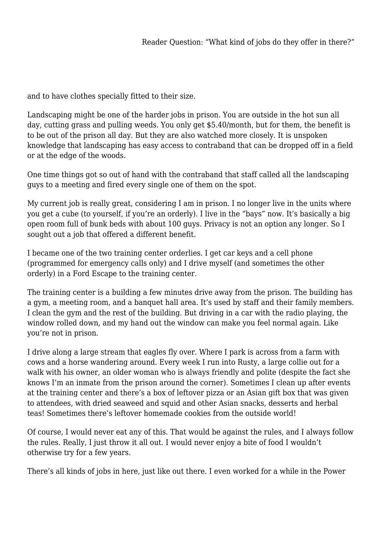and to have clothes specially fitted to their size.

Landscaping might be one of the harder jobs in prison. You are outside in the hot sun all day, cutting grass and pulling weeds. You only get \$5.40/month, but for them, the benefit is to be out of the prison all day. But they are also watched more closely. It is unspoken knowledge that landscaping has easy access to contraband that can be dropped off in a field or at the edge of the woods.

One time things got so out of hand with the contraband that staff called all the landscaping guys to a meeting and fired every single one of them on the spot.

My current job is really great, considering I am in prison. I no longer live in the units where you get a cube (to yourself, if you're an orderly). I live in the "bays" now. It's basically a big open room full of bunk beds with about 100 guys. Privacy is not an option any longer. So I sought out a job that offered a different benefit.

I became one of the two training center orderlies. I get car keys and a cell phone (programmed for emergency calls only) and I drive myself (and sometimes the other orderly) in a Ford Escape to the training center.

The training center is a building a few minutes drive away from the prison. The building has a gym, a meeting room, and a banquet hall area. It's used by staff and their family members. I clean the gym and the rest of the building. But driving in a car with the radio playing, the window rolled down, and my hand out the window can make you feel normal again. Like you're not in prison.

I drive along a large stream that eagles fly over. Where I park is across from a farm with cows and a horse wandering around. Every week I run into Rusty, a large collie out for a walk with his owner, an older woman who is always friendly and polite (despite the fact she knows I'm an inmate from the prison around the corner). Sometimes I clean up after events at the training center and there's a box of leftover pizza or an Asian gift box that was given to attendees, with dried seaweed and squid and other Asian snacks, desserts and herbal teas! Sometimes there's leftover homemade cookies from the outside world!

Of course, I would never eat any of this. That would be against the rules, and I always follow the rules. Really, I just throw it all out. I would never enjoy a bite of food I wouldn't otherwise try for a few years.

There's all kinds of jobs in here, just like out there. I even worked for a while in the Power